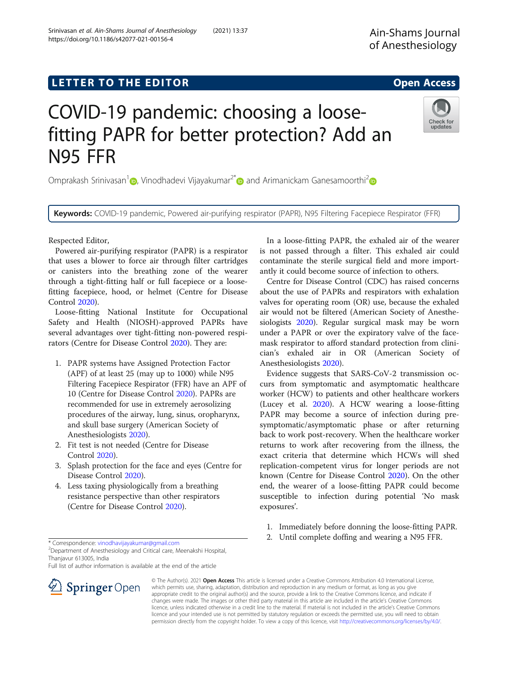# L E T T ER TOR OPEN A T T ER TOR OPEN A T T ER TOR OPEN A T T ER TOR OPEN A T T ER TOR OPEN A T T ER TOR OPEN <br>A t er tor open [Access](http://crossmark.crossref.org/dialog/?doi=10.1186/s42077-021-00156-4&domain=pdf) and the second and the second and the second and the second and the second and the secon

https://doi.org/10.1186/s42077-021-00156-4

# COVID-19 pandemic: choosing a loosefitting PAPR for better protection? Add an N95 FFR

Omprakash Srinivasan<sup>1</sup><sup>0</sup>[,](https://orcid.org/0000-0002-6472-0328) Vinodhadevi Vijayakumar<sup>2[\\*](http://orcid.org/0000-0001-6404-4801)</sup><sup>0</sup> and Arimanickam Ganesamoorthi<sup>2</sup><sup>0</sup>

Keywords: COVID-19 pandemic, Powered air-purifying respirator (PAPR), N95 Filtering Facepiece Respirator (FFR)

Respected Editor,

Powered air-purifying respirator (PAPR) is a respirator that uses a blower to force air through filter cartridges or canisters into the breathing zone of the wearer through a tight-fitting half or full facepiece or a loosefitting facepiece, hood, or helmet (Centre for Disease Control [2020\)](#page-1-0).

Loose-fitting National Institute for Occupational Safety and Health (NIOSH)-approved PAPRs have several advantages over tight-fitting non-powered respirators (Centre for Disease Control [2020\)](#page-1-0). They are:

- 1. PAPR systems have Assigned Protection Factor (APF) of at least 25 (may up to 1000) while N95 Filtering Facepiece Respirator (FFR) have an APF of 10 (Centre for Disease Control [2020\)](#page-1-0). PAPRs are recommended for use in extremely aerosolizing procedures of the airway, lung, sinus, oropharynx, and skull base surgery (American Society of Anesthesiologists [2020\)](#page-1-0).
- 2. Fit test is not needed (Centre for Disease Control [2020\)](#page-1-0).
- 3. Splash protection for the face and eyes (Centre for Disease Control [2020](#page-1-0)).
- 4. Less taxing physiologically from a breathing resistance perspective than other respirators (Centre for Disease Control [2020](#page-1-0)).

\* Correspondence: [vinodhavijayakumar@gmail.com](mailto:vinodhavijayakumar@gmail.com) <sup>2</sup>

<sup>2</sup> Department of Anesthesiology and Critical care, Meenakshi Hospital, Thanjavur 613005, India

Full list of author information is available at the end of the article



Srinivasan et al. Ain-Shams Journal of Anesthesiology (2021) 13:37

In a loose-fitting PAPR, the exhaled air of the wearer is not passed through a filter. This exhaled air could contaminate the sterile surgical field and more importantly it could become source of infection to others.

Centre for Disease Control (CDC) has raised concerns about the use of PAPRs and respirators with exhalation valves for operating room (OR) use, because the exhaled air would not be filtered (American Society of Anesthesiologists [2020](#page-1-0)). Regular surgical mask may be worn under a PAPR or over the expiratory valve of the facemask respirator to afford standard protection from clinician's exhaled air in OR (American Society of Anesthesiologists [2020\)](#page-1-0).

Evidence suggests that SARS-CoV-2 transmission occurs from symptomatic and asymptomatic healthcare worker (HCW) to patients and other healthcare workers (Lucey et al. [2020](#page-1-0)). A HCW wearing a loose-fitting PAPR may become a source of infection during presymptomatic/asymptomatic phase or after returning back to work post-recovery. When the healthcare worker returns to work after recovering from the illness, the exact criteria that determine which HCWs will shed replication-competent virus for longer periods are not known (Centre for Disease Control [2020\)](#page-1-0). On the other end, the wearer of a loose-fitting PAPR could become susceptible to infection during potential 'No mask exposures'.

- 1. Immediately before donning the loose-fitting PAPR.
- 2. Until complete doffing and wearing a N95 FFR.





updates